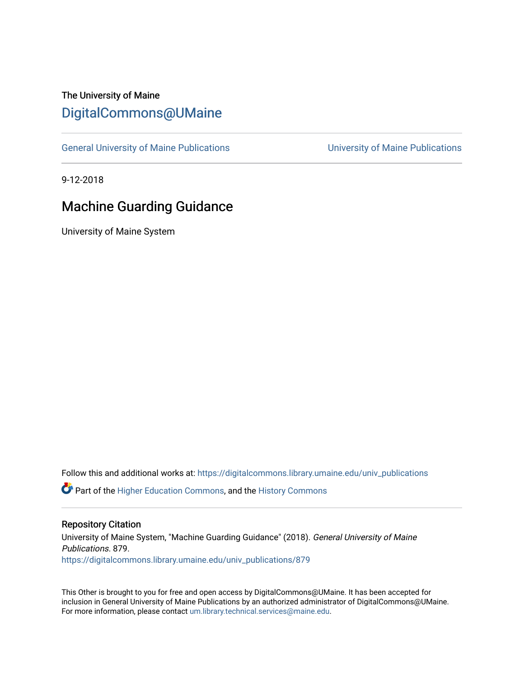# The University of Maine [DigitalCommons@UMaine](https://digitalcommons.library.umaine.edu/)

[General University of Maine Publications](https://digitalcommons.library.umaine.edu/univ_publications) [University of Maine Publications](https://digitalcommons.library.umaine.edu/umaine_publications) 

9-12-2018

# Machine Guarding Guidance

University of Maine System

Follow this and additional works at: [https://digitalcommons.library.umaine.edu/univ\\_publications](https://digitalcommons.library.umaine.edu/univ_publications?utm_source=digitalcommons.library.umaine.edu%2Funiv_publications%2F879&utm_medium=PDF&utm_campaign=PDFCoverPages) 

**C** Part of the [Higher Education Commons,](http://network.bepress.com/hgg/discipline/1245?utm_source=digitalcommons.library.umaine.edu%2Funiv_publications%2F879&utm_medium=PDF&utm_campaign=PDFCoverPages) and the [History Commons](http://network.bepress.com/hgg/discipline/489?utm_source=digitalcommons.library.umaine.edu%2Funiv_publications%2F879&utm_medium=PDF&utm_campaign=PDFCoverPages)

#### Repository Citation

University of Maine System, "Machine Guarding Guidance" (2018). General University of Maine Publications. 879. [https://digitalcommons.library.umaine.edu/univ\\_publications/879](https://digitalcommons.library.umaine.edu/univ_publications/879?utm_source=digitalcommons.library.umaine.edu%2Funiv_publications%2F879&utm_medium=PDF&utm_campaign=PDFCoverPages) 

This Other is brought to you for free and open access by DigitalCommons@UMaine. It has been accepted for inclusion in General University of Maine Publications by an authorized administrator of DigitalCommons@UMaine. For more information, please contact [um.library.technical.services@maine.edu](mailto:um.library.technical.services@maine.edu).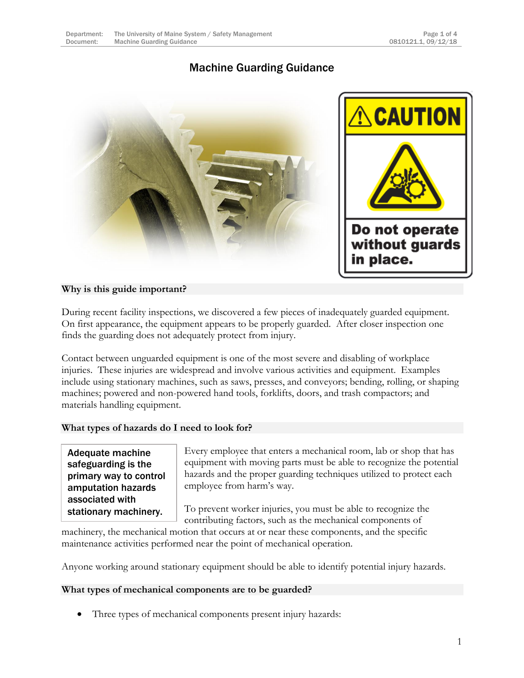# Machine Guarding Guidance



## **Why is this guide important?**

During recent facility inspections, we discovered a few pieces of inadequately guarded equipment. On first appearance, the equipment appears to be properly guarded. After closer inspection one finds the guarding does not adequately protect from injury.

Contact between unguarded equipment is one of the most severe and disabling of workplace injuries. These injuries are widespread and involve various activities and equipment. Examples include using stationary machines, such as saws, presses, and conveyors; bending, rolling, or shaping machines; powered and non-powered hand tools, forklifts, doors, and trash compactors; and materials handling equipment.

### **What types of hazards do I need to look for?**

Adequate machine safeguarding is the primary way to control amputation hazards associated with stationary machinery.

Every employee that enters a mechanical room, lab or shop that has equipment with moving parts must be able to recognize the potential hazards and the proper guarding techniques utilized to protect each employee from harm's way.

To prevent worker injuries, you must be able to recognize the

contributing factors, such as the mechanical components of machinery, the mechanical motion that occurs at or near these components, and the specific maintenance activities performed near the point of mechanical operation.

Anyone working around stationary equipment should be able to identify potential injury hazards.

### **What types of mechanical components are to be guarded?**

Three types of mechanical components present injury hazards: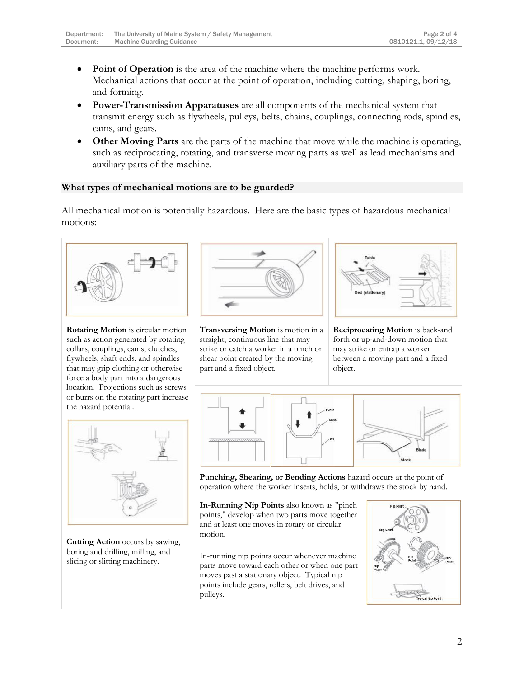- **Point of Operation** is the area of the machine where the machine performs work. Mechanical actions that occur at the point of operation, including cutting, shaping, boring, and forming.
- **Power-Transmission Apparatuses** are all components of the mechanical system that transmit energy such as flywheels, pulleys, belts, chains, couplings, connecting rods, spindles, cams, and gears.
- **Other Moving Parts** are the parts of the machine that move while the machine is operating, such as reciprocating, rotating, and transverse moving parts as well as lead mechanisms and auxiliary parts of the machine.

#### **What types of mechanical motions are to be guarded?**

All mechanical motion is potentially hazardous. Here are the basic types of hazardous mechanical motions:



**Rotating Motion** is circular motion such as action generated by rotating collars, couplings, cams, clutches, flywheels, shaft ends, and spindles that may grip clothing or otherwise force a body part into a dangerous location. Projections such as screws or burrs on the rotating part increase the hazard potential.



**Transversing Motion** is motion in a straight, continuous line that may strike or catch a worker in a pinch or shear point created by the moving part and a fixed object.



**Reciprocating Motion** is back-and forth or up-and-down motion that may strike or entrap a worker between a moving part and a fixed object.



**Cutting Action** occurs by sawing, boring and drilling, milling, and slicing or slitting machinery.



**Punching, Shearing, or Bending Actions** hazard occurs at the point of operation where the worker inserts, holds, or withdraws the stock by hand.

**In-Running Nip Points** also known as "pinch points," develop when two parts move together and at least one moves in rotary or circular motion.

In-running nip points occur whenever machine parts move toward each other or when one part moves past a stationary object. Typical nip points include gears, rollers, belt drives, and pulleys.

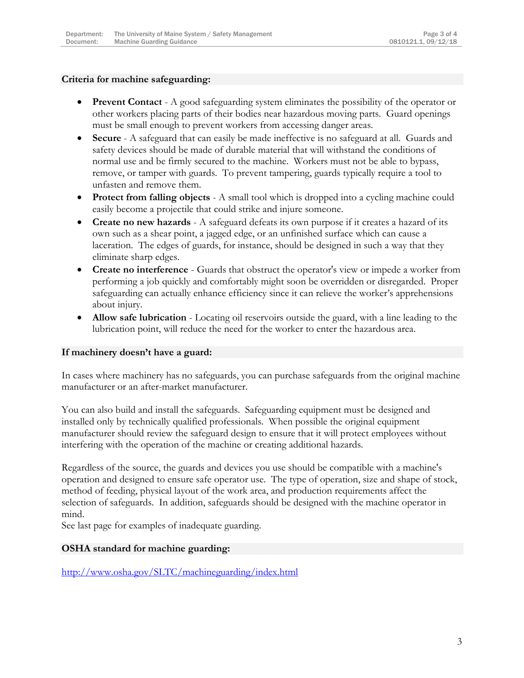#### **Criteria for machine safeguarding:**

- **Prevent Contact** A good safeguarding system eliminates the possibility of the operator or other workers placing parts of their bodies near hazardous moving parts. Guard openings must be small enough to prevent workers from accessing danger areas.
- **Secure** A safeguard that can easily be made ineffective is no safeguard at all. Guards and safety devices should be made of durable material that will withstand the conditions of normal use and be firmly secured to the machine. Workers must not be able to bypass, remove, or tamper with guards. To prevent tampering, guards typically require a tool to unfasten and remove them.
- **Protect from falling objects** A small tool which is dropped into a cycling machine could easily become a projectile that could strike and injure someone.
- **Create no new hazards** A safeguard defeats its own purpose if it creates a hazard of its own such as a shear point, a jagged edge, or an unfinished surface which can cause a laceration. The edges of guards, for instance, should be designed in such a way that they eliminate sharp edges.
- **Create no interference** Guards that obstruct the operator's view or impede a worker from performing a job quickly and comfortably might soon be overridden or disregarded. Proper safeguarding can actually enhance efficiency since it can relieve the worker's apprehensions about injury.
- **Allow safe lubrication** Locating oil reservoirs outside the guard, with a line leading to the lubrication point, will reduce the need for the worker to enter the hazardous area.

### **If machinery doesn't have a guard:**

In cases where machinery has no safeguards, you can purchase safeguards from the original machine manufacturer or an after-market manufacturer.

You can also build and install the safeguards. Safeguarding equipment must be designed and installed only by technically qualified professionals. When possible the original equipment manufacturer should review the safeguard design to ensure that it will protect employees without interfering with the operation of the machine or creating additional hazards.

Regardless of the source, the guards and devices you use should be compatible with a machine's operation and designed to ensure safe operator use. The type of operation, size and shape of stock, method of feeding, physical layout of the work area, and production requirements affect the selection of safeguards. In addition, safeguards should be designed with the machine operator in mind.

See last page for examples of inadequate guarding.

### **OSHA standard for machine guarding:**

<http://www.osha.gov/SLTC/machineguarding/index.html>